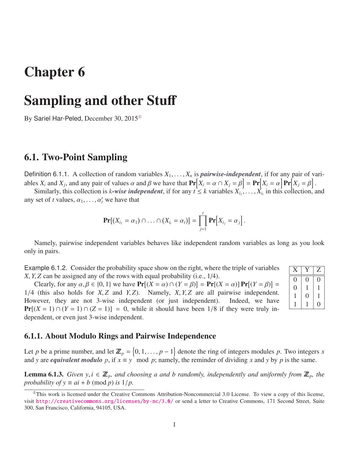# Chapter 6

# Sampling and other Stuff

By Sariel Har-Peled, December 30, 2015<sup>®</sup>

## 6.1. Two-Point Sampling

Definition 6.1.1. A collection of random variables  $X_1, \ldots, X_n$  is *pairwise-independent*, if for any pair of variables  $X_i$  and  $X_j$ , and any pair of values  $\alpha$  and  $\beta$  we have that  $\Pr[X_i = \alpha \cap X_j = \beta] = \Pr[X_i = \alpha] \Pr[X_j = \beta]$ <br>Similarly this collection is *k*-wise independent if for any  $t \le k$  variables  $Y_i$ .

Similarly, this collection is *k*-wise independent, if for any  $t \le k$  variables  $X_{i_1}, \ldots, X_{i_t}$  in this collection, and set of *t* values  $\alpha_i$ ,  $\alpha'_i$  we have that any set of *t* values,  $\alpha_1, \ldots, \alpha_t'$  we have that

$$
\mathbf{Pr}[(X_{i_1} = \alpha_1) \cap \ldots \cap (X_{i_t} = \alpha_t)] = \prod_{j=1}^t \mathbf{Pr}[X_{i_j} = \alpha_j].
$$

Namely, pairwise independent variables behaves like independent random variables as long as you look only in pairs.

> $X | Y | Z$  $0 \mid 0 \mid 0$  $0 \mid 1 \mid 1$  $1 \mid 0 \mid 1$  $1 \mid 1 \mid 0$

Example 6.1.2. Consider the probability space show on the right, where the triple of variables *<sup>X</sup>*, *<sup>Y</sup>*, *<sup>Z</sup>* can be assigned any of the rows with equal probability (i.e., 1/4).

Clearly, for any  $\alpha, \beta \in \{0, 1\}$  we have  $\Pr[(X = \alpha) \cap (Y = \beta)] = \Pr[(X = \alpha)] \Pr[(Y = \beta)] =$ <br>(this also holds for *X* 7 and *Y* 7) Namely *X Y* 7 are all pairwise independent <sup>1</sup>/4 (this also holds for *<sup>X</sup>*, *<sup>Z</sup>* and *<sup>Y</sup>*, *<sup>Z</sup>*). Namely, *<sup>X</sup>*, *<sup>Y</sup>*, *<sup>Z</sup>* are all pairwise independent. However, they are not 3-wise independent (or just independent).  $Pr[(X = 1) \cap (Y = 1) \cap (Z = 1)] = 0$ , while it should have been 1/8 if they were truly independent, or even just 3-wise independent.

| 6.1.1. About Modulo Rings and Pairwise Independence |  |  |  |
|-----------------------------------------------------|--|--|--|
|-----------------------------------------------------|--|--|--|

Let *p* be a prime number, and let  $\mathbb{Z}_p = \{0, 1, ..., p-1\}$  denote the ring of integers modules *p*. Two integers *x*<br>and *y* are *equivalent module p* if  $x = y$  mod *p*; namely the reminder of dividing *x* and *y* by *p* and *y* are *equivalent modulo p*, if  $x \equiv y$  mod *p*; namely, the reminder of dividing *x* and *y* by *p* is the same.

<span id="page-0-1"></span>**Lemma 6.1.3.** *Given y,i*  $\in \mathbb{Z}_p$ *, and choosing a and b randomly, independently and uniformly from*  $\mathbb{Z}_p$ *, the probability of y*  $\equiv ai + b \pmod{p}$  *is*  $1/p$ .

<span id="page-0-0"></span> $^{\circ}$ This work is licensed under the Creative Commons Attribution-Noncommercial 3.0 License. To view a copy of this license, visit <http://creativecommons.org/licenses/by-nc/3.0/> or send a letter to Creative Commons, 171 Second Street, Suite 300, San Francisco, California, 94105, USA.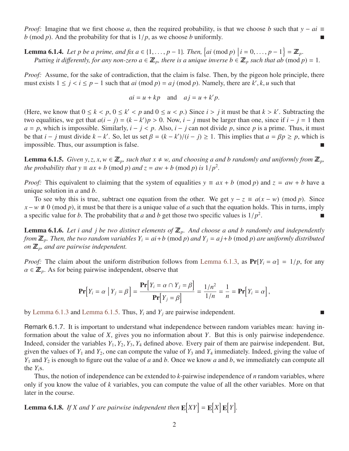*Proof:* Imagine that we first choose *a*, then the required probability, is that we choose *b* such that  $y - ai \equiv$ *b* (mod *p*). And the probability for that is  $1/p$ , as we choose *b* uniformly.

**Lemma 6.1.4.** Let p be a prime, and fix  $a \in \{1, ..., p - 1\}$ . Then,  $\{ai \pmod{p} \mid i = 0, ..., p - 1\} = \mathbb{Z}_p$ .<br>Putting it differently for any non-zero  $a \in \mathbb{Z}$ , there is a unique inverse  $b \in \mathbb{Z}$ , such that ab (mod r *Putting it differently, for any non-zero*  $a \in \mathbb{Z}_p$ *, there is a unique inverse*  $b \in \mathbb{Z}_p$  *<i>such that ab* (mod  $p$ ) = 1.

*Proof:* Assume, for the sake of contradiction, that the claim is false. Then, by the pigeon hole principle, there must exists  $1 \le j < i \le p - 1$  such that *ai* (mod *p*) = *aj* (mod *p*). Namely, there are *k'*, *k*, *u* such that

$$
ai = u + kp
$$
 and  $aj = u + k'p$ .

(Here, we know that  $0 \le k < p$ ,  $0 \le k' < p$  and  $0 \le u < p$ .) Since  $i > j$  it must be that  $k > k'$ . Subtracting the two equalities we get that  $a(i - j) - (k - k')n > 0$ . Now  $i - j$  inves be larger than one, since if  $i - j = 1$  then two equalities, we get that  $a(i - j) = (k - k')p > 0$ . Now,  $i - j$  must be larger than one, since if  $i - j = 1$  then  $a - p$  which is impossible. Similarly  $i - j \le p$ , Also  $i - j$  can not divide *n* since *n* is a prime. Thus, it must  $a = p$ , which is impossible. Similarly,  $i - j < p$ . Also,  $i - j$  can not divide p, since p is a prime. Thus, it must be that  $i - j$  must divide  $k - k'$ . So, let us set  $\beta = (k - k')/(i - j) \ge 1$ . This implies that  $a = \beta p \ge p$ , which is impossible. Thus our assumption is false impossible. Thus, our assumption is false.

<span id="page-1-0"></span>**Lemma 6.1.5.** *Given y, z, x, w*  $\in \mathbb{Z}_p$ *, such that x*  $\neq$  *w, and choosing a and b randomly and uniformly from*  $\mathbb{Z}_p$ *, the probability that*  $y \equiv ax + b \pmod{p}$  *and*  $z = aw + b \pmod{p}$  *is*  $1/p^2$ *.* 

*Proof:* This equivalent to claiming that the system of equalities  $y \equiv ax + b \pmod{p}$  and  $z = aw + b$  have a unique solution in *a* and *b*.

To see why this is true, subtract one equation from the other. We get  $y - z \equiv a(x - w) \pmod{p}$ . Since  $x - w \neq 0$  (mod *p*), it must be that there is a unique value of *a* such that the equation holds. This in turns, imply a specific value for *b*. The probability that *a* and *b* get those two specific values is  $1/p^2$ .

**Lemma 6.1.6.** Let i and j be two distinct elements of  $\mathbb{Z}_p$ . And choose a and b randomly and independently *from*  $\mathbb{Z}_p$ *. Then, the two random variables*  $Y_i = ai + b \pmod{p}$  *and*  $Y_j = aj + b \pmod{p}$  *are uniformly distributed on*  $\mathbb{Z}_p$ *, and are pairwise independent.* 

*Proof:* The claim about the uniform distribution follows from [Lemma 6.1.3,](#page-0-1) as  $Pr[Y_i = \alpha] = 1/p$ , for any  $\alpha \in \mathbb{Z}_p$ . As for being pairwise independent, observe that

$$
\mathbf{Pr}\Big[Y_i = \alpha \mid Y_j = \beta\Big] = \frac{\mathbf{Pr}\Big[Y_i = \alpha \cap Y_j = \beta\Big]}{\mathbf{Pr}\Big[Y_j = \beta\Big]} = \frac{1/n^2}{1/n} = \frac{1}{n} = \mathbf{Pr}\Big[Y_i = \alpha\Big],
$$

by [Lemma 6.1.3](#page-0-1) and [Lemma 6.1.5.](#page-1-0) Thus, *Y<sup>i</sup>* and *Y<sup>j</sup>* are pairwise independent.

Remark 6.1.7. It is important to understand what independence between random variables mean: having information about the value of *X*, gives you no information about *Y*. But this is only pairwise independence. Indeed, consider the variables *<sup>Y</sup>*<sup>1</sup>, *<sup>Y</sup>*<sup>2</sup>, *<sup>Y</sup>*<sup>3</sup>, *<sup>Y</sup>*<sup>4</sup> defined above. Every pair of them are pairwise independent. But, given the values of  $Y_1$  and  $Y_2$ , one can compute the value of  $Y_3$  and  $Y_4$  immediately. Indeed, giving the value of *Y*<sup>1</sup> and *Y*<sup>2</sup> is enough to figure out the value of *a* and *b*. Once we know *a* and *b*, we immediately can compute all the  $Y_i$ s.

Thus, the notion of independence can be extended to *k*-pairwise independence of *n* random variables, where only if you know the value of *k* variables, you can compute the value of all the other variables. More on that later in the course.

<span id="page-1-1"></span>**Lemma 6.1.8.** If X and Y are pairwise independent then  $\mathbf{E}[XY] = \mathbf{E}[X]\mathbf{E}[Y]$ .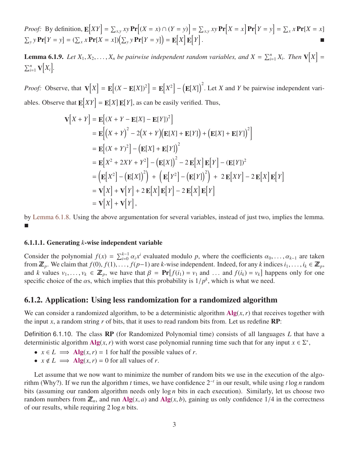*Proof:* By definition, 
$$
\mathbf{E}[XY] = \sum_{x,y} xy \mathbf{Pr}[(X = x) \cap (Y = y)] = \sum_{x,y} xy \mathbf{Pr}[X = x] \mathbf{Pr}[Y = y] = \sum_{x} x \mathbf{Pr}[X = x] \sum_{y} y \mathbf{Pr}[Y = y] = (\sum_{x} x \mathbf{Pr}[X = x])(\sum_{y} y \mathbf{Pr}[Y = y]) = \mathbf{E}[X] \mathbf{E}[Y].
$$

**Lemma 6.1.9.** Let  $X_1, X_2, \ldots, X_n$  be pairwise independent random variables, and  $X = \sum_{i=1}^n X_i$ . Then  $\mathbf{V}[X] = \mathbf{V}[X]$  $\sum_{i=1}^n \mathbf{V}[X_i].$ 

*Proof:* Observe, that  $\mathbf{V}[X] = \mathbf{E}[(X - \mathbf{E}[X])^2] = \mathbf{E}[X^2] - (\mathbf{E}[X])^2$ . Let *X* and *Y* be pairwise independent variables. Observe that  $\mathbf{E}[XY] = \mathbf{E}[X] \mathbf{E}[Y]$ , as can be easily verified. Thus,

$$
\mathbf{V}[X+Y] = \mathbf{E}[(X+Y-\mathbf{E}[X]-\mathbf{E}[Y])^{2}]
$$
  
\n
$$
= \mathbf{E}[(X+Y)^{2}-2(X+Y)(\mathbf{E}[X]+\mathbf{E}[Y])+(\mathbf{E}[X]+\mathbf{E}[Y])^{2}]
$$
  
\n
$$
= \mathbf{E}[(X+Y)^{2}] - (\mathbf{E}[X]+\mathbf{E}[Y])^{2}
$$
  
\n
$$
= \mathbf{E}[X^{2}+2XY+Y^{2}] - (\mathbf{E}[X])^{2}-2\mathbf{E}[X]\mathbf{E}[Y] - (\mathbf{E}[Y])^{2}
$$
  
\n
$$
= (\mathbf{E}[X^{2}] - (\mathbf{E}[X])^{2}) + (\mathbf{E}[Y^{2}] - (\mathbf{E}[Y])^{2}) + 2\mathbf{E}[XY] - 2\mathbf{E}[X]\mathbf{E}[Y]
$$
  
\n
$$
= \mathbf{V}[X] + \mathbf{V}[Y] + 2\mathbf{E}[X]\mathbf{E}[Y] - 2\mathbf{E}[X]\mathbf{E}[Y]
$$
  
\n
$$
= \mathbf{V}[X] + \mathbf{V}[Y],
$$

by [Lemma 6.1.8.](#page-1-1) Using the above argumentation for several variables, instead of just two, implies the lemma.  $\mathcal{L}_{\mathcal{A}}$ 

#### 6.1.1.1. Generating *k*-wise independent variable

Consider the polynomial  $f(x) = \sum_{i=0}^{k-1} \alpha_i x^i$  evaluated modulo *p*, where the coefficients  $\alpha_0, \dots, \alpha_{k-1}$  are taken<br>from **Z** We claim that  $f(0)$ ,  $f(1)$  are k-wise independent. Indeed, for any kindices is  $i \in \mathbb{Z$ from  $\mathbb{Z}_p$ . We claim that  $f(0), f(1), \ldots, f(p-1)$  are *k*-wise independent. Indeed, for any *k* indices  $i_1, \ldots, i_k \in \mathbb{Z}_p$ , and *k* values  $v_1, \ldots, v_k \in \mathbb{Z}_p$ , we have that  $\beta = \Pr[f(i_1) = v_1 \text{ and } \ldots \text{ and } f(i_k) = v_k]$  happens only for one specific choice of the  $\alpha s$  which implies that this probability is  $1/n^k$  which is what we need specific choice of the  $\alpha$ s, which implies that this probability is  $1/p^k$ , which is what we need.

### 6.1.2. Application: Using less randomization for a randomized algorithm

We can consider a randomized algorithm, to be a deterministic algorithm  $\mathbf{Alg}(x, r)$  that receives together with the input *x*, a random string *r* of bits, that it uses to read random bits from. Let us redefine  $\mathbb{RP}$ :

Definition 6.1.10. The class RP (for Randomized Polynomial time) consists of all languages *L* that have a deterministic algorithm  $\text{Alg}(x, r)$  with worst case polynomial running time such that for any input  $x \in \Sigma^*$ ,

- $x \in L \implies \text{Alg}(x, r) = 1$  for half the possible values of *r*.
- $x \notin L \implies \textbf{Alg}(x, r) = 0$  for all values of *r*.

Let assume that we now want to minimize the number of random bits we use in the execution of the algorithm (Why?). If we run the algorithm *t* times, we have confidence 2<sup>−</sup>*<sup>t</sup>* in our result, while using *t* log *n* random bits (assuming our random algorithm needs only log *n* bits in each execution). Similarly, let us choose two random numbers from  $\mathbb{Z}_n$ , and run Alg(*x*, *a*) and Alg(*x*, *b*), gaining us only confidence 1/4 in the correctness of our results, while requiring 2 log *n* bits.